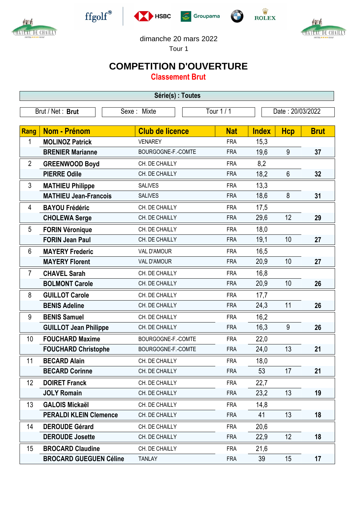



 $\operatorname{ffgolf}^{\circledast}$ 







dimanche 20 mars 2022

Tour 1

## **COMPETITION D'OUVERTURE**

**Classement Brut**

| Série(s) : Toutes |                               |                        |            |              |                  |             |  |  |  |
|-------------------|-------------------------------|------------------------|------------|--------------|------------------|-------------|--|--|--|
| Brut / Net: Brut  |                               | Sexe: Mixte            | Tour 1 / 1 |              | Date: 20/03/2022 |             |  |  |  |
| Rang              | Nom - Prénom                  | <b>Club de licence</b> | <b>Nat</b> | <b>Index</b> | <b>Hcp</b>       | <b>Brut</b> |  |  |  |
| 1                 | <b>MOLINOZ Patrick</b>        | <b>VENAREY</b>         | <b>FRA</b> | 15,3         |                  |             |  |  |  |
|                   | <b>BRENIER Marianne</b>       | BOURGOGNE-F.-COMTE     | <b>FRA</b> | 19,6         | 9                | 37          |  |  |  |
| $\overline{2}$    | <b>GREENWOOD Boyd</b>         | CH. DE CHAILLY         | <b>FRA</b> | 8,2          |                  |             |  |  |  |
|                   | <b>PIERRE Odile</b>           | CH. DE CHAILLY         | <b>FRA</b> | 18,2         | $6\phantom{1}$   | 32          |  |  |  |
| 3                 | <b>MATHIEU Philippe</b>       | <b>SALIVES</b>         | <b>FRA</b> | 13,3         |                  |             |  |  |  |
|                   | <b>MATHIEU Jean-Francois</b>  | <b>SALIVES</b>         | <b>FRA</b> | 18,6         | 8                | 31          |  |  |  |
| 4                 | <b>BAYOU Frédéric</b>         | CH. DE CHAILLY         | <b>FRA</b> | 17,5         |                  |             |  |  |  |
|                   | <b>CHOLEWA Serge</b>          | CH. DE CHAILLY         | <b>FRA</b> | 29,6         | 12               | 29          |  |  |  |
| 5                 | <b>FORIN Véronique</b>        | CH. DE CHAILLY         | <b>FRA</b> | 18,0         |                  |             |  |  |  |
|                   | <b>FORIN Jean Paul</b>        | CH. DE CHAILLY         | <b>FRA</b> | 19,1         | 10               | 27          |  |  |  |
| 6                 | <b>MAYERY Frederic</b>        | <b>VAL D'AMOUR</b>     | <b>FRA</b> | 16,5         |                  |             |  |  |  |
|                   | <b>MAYERY Florent</b>         | <b>VAL D'AMOUR</b>     | <b>FRA</b> | 20,9         | 10               | 27          |  |  |  |
| $\overline{7}$    | <b>CHAVEL Sarah</b>           | CH. DE CHAILLY         | <b>FRA</b> | 16,8         |                  |             |  |  |  |
|                   | <b>BOLMONT Carole</b>         | CH. DE CHAILLY         | <b>FRA</b> | 20,9         | 10               | 26          |  |  |  |
| 8                 | <b>GUILLOT Carole</b>         | CH. DE CHAILLY         | <b>FRA</b> | 17,7         |                  |             |  |  |  |
|                   | <b>BENIS Adeline</b>          | CH. DE CHAILLY         | <b>FRA</b> | 24,3         | 11               | 26          |  |  |  |
| 9                 | <b>BENIS Samuel</b>           | CH. DE CHAILLY         | <b>FRA</b> | 16,2         |                  |             |  |  |  |
|                   | <b>GUILLOT Jean Philippe</b>  | CH. DE CHAILLY         | <b>FRA</b> | 16,3         | 9                | 26          |  |  |  |
| 10                | <b>FOUCHARD Maxime</b>        | BOURGOGNE-F.-COMTE     | <b>FRA</b> | 22,0         |                  |             |  |  |  |
|                   | <b>FOUCHARD Christophe</b>    | BOURGOGNE-F.-COMTE     | <b>FRA</b> | 24,0         | 13               | 21          |  |  |  |
| 11                | <b>BECARD Alain</b>           | CH. DE CHAILLY         | <b>FRA</b> | 18,0         |                  |             |  |  |  |
|                   | <b>BECARD Corinne</b>         | CH. DE CHAILLY         | <b>FRA</b> | 53           | 17               | 21          |  |  |  |
| 12                | <b>DOIRET Franck</b>          | CH. DE CHAILLY         | <b>FRA</b> | 22,7         |                  |             |  |  |  |
|                   | <b>JOLY Romain</b>            | CH. DE CHAILLY         | <b>FRA</b> | 23,2         | 13               | 19          |  |  |  |
| 13                | <b>GALOIS Mickaël</b>         | CH. DE CHAILLY         | <b>FRA</b> | 14,8         |                  |             |  |  |  |
|                   | <b>PERALDI KLEIN Clemence</b> | CH. DE CHAILLY         | <b>FRA</b> | 41           | 13               | 18          |  |  |  |
| 14                | <b>DEROUDE Gérard</b>         | CH. DE CHAILLY         | <b>FRA</b> | 20,6         |                  |             |  |  |  |
|                   | <b>DEROUDE Josette</b>        | CH. DE CHAILLY         | <b>FRA</b> | 22,9         | 12               | 18          |  |  |  |
| 15                | <b>BROCARD Claudine</b>       | CH. DE CHAILLY         | <b>FRA</b> | 21,6         |                  |             |  |  |  |
|                   | <b>BROCARD GUEGUEN Céline</b> | <b>TANLAY</b>          | <b>FRA</b> | 39           | 15               | 17          |  |  |  |